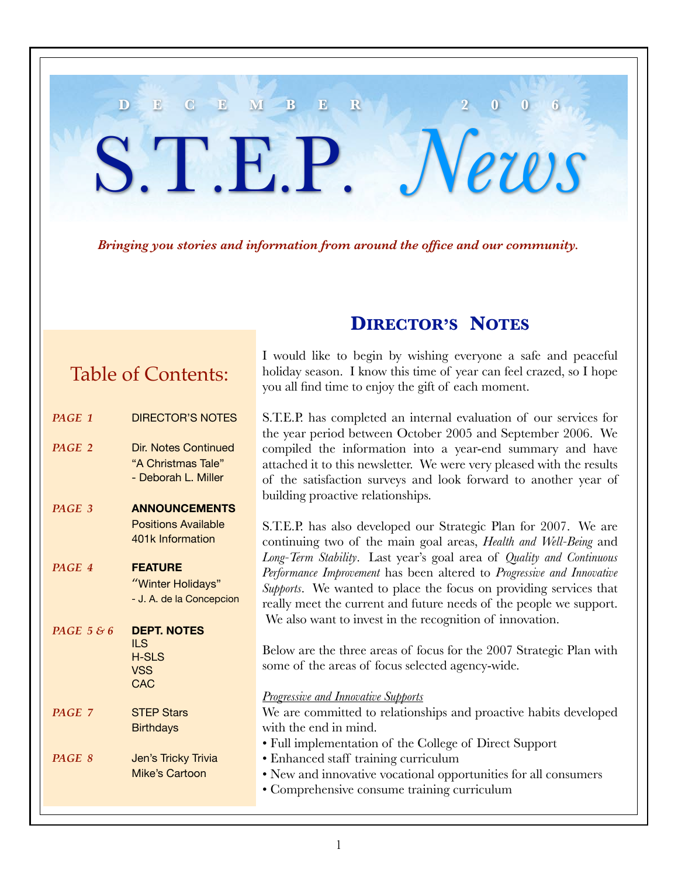#### *Bringing you stories and information from around the office and our community.*

**D E C E M B E R 2 0 0 6**

S.T.E.P. *News*

# Table of Contents:

| PAGE 1     | <b>DIRECTOR'S NOTES</b>    |
|------------|----------------------------|
| PAGE 2     | Dir. Notes Continued       |
|            | "A Christmas Tale"         |
|            | - Deborah L. Miller        |
| PAGE 3     | <b>ANNOUNCEMENTS</b>       |
|            | <b>Positions Available</b> |
|            | 401k Information           |
| PAGE 4     | <b>FEATURE</b>             |
|            | "Winter Holidays"          |
|            | - J. A. de la Concepcion   |
|            |                            |
| PAGE 5 & 6 | <b>DEPT. NOTES</b>         |
|            | ILS.                       |
|            | <b>H-SLS</b>               |
|            | VSS.<br>CAC                |
|            |                            |
| PAGE 7     | <b>STEP Stars</b>          |
|            | <b>Birthdays</b>           |
| PAGE 8     | Jen's Tricky Trivia        |
|            | Mike's Cartoon             |
|            |                            |

## **DIRECTOR'S NOTES**

I would like to begin by wishing everyone a safe and peaceful holiday season. I know this time of year can feel crazed, so I hope you all find time to enjoy the gift of each moment.

S.T.E.P. has completed an internal evaluation of our services for the year period between October 2005 and September 2006. We compiled the information into a year-end summary and have attached it to this newsletter. We were very pleased with the results of the satisfaction surveys and look forward to another year of building proactive relationships.

S.T.E.P. has also developed our Strategic Plan for 2007. We are continuing two of the main goal areas, *Health and Well-Being* and *Long-Term Stability*. Last year's goal area of *Quality and Continuous Performance Improvement* has been altered to *Progressive and Innovative Supports*. We wanted to place the focus on providing services that really meet the current and future needs of the people we support. We also want to invest in the recognition of innovation.

Below are the three areas of focus for the 2007 Strategic Plan with some of the areas of focus selected agency-wide.

*Progressive and Innovative Supports*

We are committed to relationships and proactive habits developed with the end in mind. • Full implementation of the College of Direct Support

- Enhanced staff training curriculum
- New and innovative vocational opportunities for all consumers
- Comprehensive consume training curriculum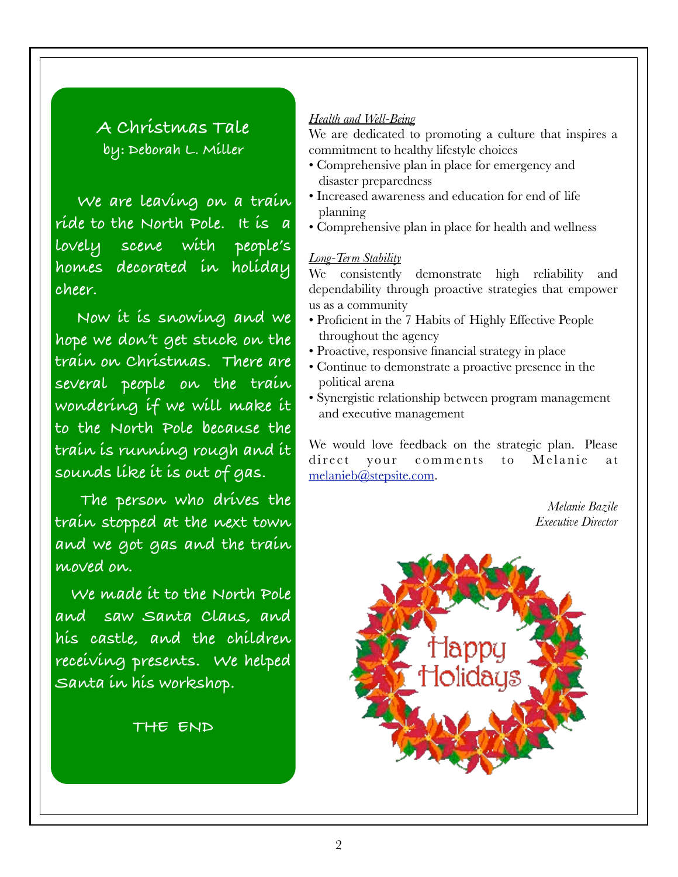## **A Christmas Tale by: Deborah L. Miller**

**We are leaving on a train ride to the North Pole. It is a lovely scene with people's homes decorated in holiday cheer.**

**Now it is snowing and we hope we don't get stuck on the train on Christmas. There are several people on the train wondering if we will make it to the North Pole because the train is running rough and it sounds like it is out of gas.**

**The person who drives the train stopped at the next town and we got gas and the train moved on.**

 **We made it to the North Pole and saw Santa Claus, and his castle, and the children receiving presents. We helped Santa in his workshop.**

#### **THE END**

#### *Health and Well-Being*

We are dedicated to promoting a culture that inspires a commitment to healthy lifestyle choices

- Comprehensive plan in place for emergency and disaster preparedness
- Increased awareness and education for end of life planning
- Comprehensive plan in place for health and wellness

#### *Long-Term Stability*

We consistently demonstrate high reliability and dependability through proactive strategies that empower us as a community

- Proficient in the 7 Habits of Highly Effective People throughout the agency
- Proactive, responsive financial strategy in place
- Continue to demonstrate a proactive presence in the political arena
- Synergistic relationship between program management and executive management

We would love feedback on the strategic plan. Please direct your comments to Melanie at melanieb@stepsite.com.

> *Melanie Bazile Executive Director*

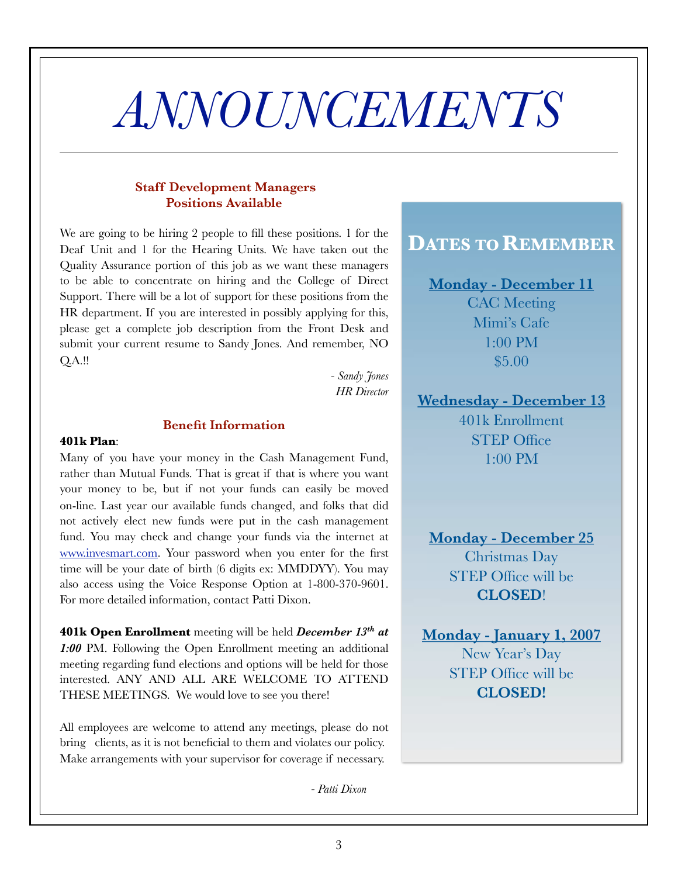# *ANNOUNCEMENTS*

#### **Staff Development Managers Positions Available**

We are going to be hiring 2 people to fill these positions. 1 for the Deaf Unit and 1 for the Hearing Units. We have taken out the Quality Assurance portion of this job as we want these managers to be able to concentrate on hiring and the College of Direct Support. There will be a lot of support for these positions from the HR department. If you are interested in possibly applying for this, please get a complete job description from the Front Desk and submit your current resume to Sandy Jones. And remember, NO Q.A.!!

> *- Sandy Jones HR Director*

#### **Benefit Information**

#### **401k Plan**:

Many of you have your money in the Cash Management Fund, rather than Mutual Funds. That is great if that is where you want your money to be, but if not your funds can easily be moved on-line. Last year our available funds changed, and folks that did not actively elect new funds were put in the cash management fund. You may check and change your funds via the internet at www.invesmart.com. Your password when you enter for the first time will be your date of birth (6 digits ex: MMDDYY). You may also access using the Voice Response Option at 1-800-370-9601. For more detailed information, contact Patti Dixon.

**401k Open Enrollment** meeting will be held *December 13th at 1:00* PM. Following the Open Enrollment meeting an additional meeting regarding fund elections and options will be held for those interested. ANY AND ALL ARE WELCOME TO ATTEND THESE MEETINGS. We would love to see you there!

All employees are welcome to attend any meetings, please do not bring clients, as it is not beneficial to them and violates our policy. Make arrangements with your supervisor for coverage if necessary.

*- Patti Dixon*

### **DATES TO REMEMBER**

**Monday - December 11** CAC Meeting Mimi's Cafe 1:00 PM \$5.00

# **Wednesday - December 13**

401k Enrollment STEP Office 1:00 PM

**Monday - December 25** Christmas Day STEP Office will be **CLOSED**!

**Monday - January 1, 2007** New Year's Day STEP Office will be **CLOSED!**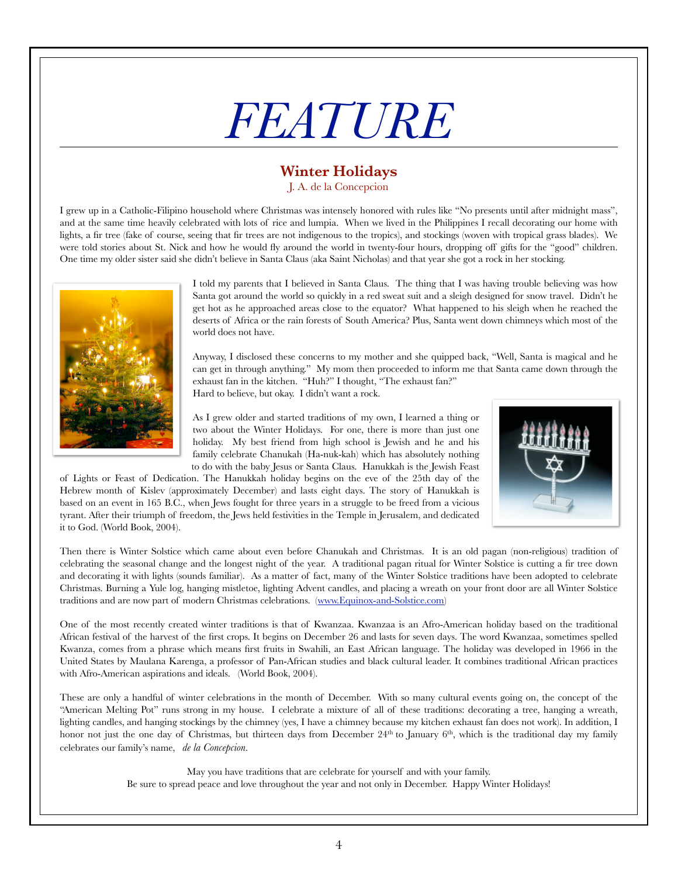# *FEATURE*

## **Winter Holidays**

J. A. de la Concepcion

I grew up in a Catholic-Filipino household where Christmas was intensely honored with rules like "No presents until after midnight mass", and at the same time heavily celebrated with lots of rice and lumpia. When we lived in the Philippines I recall decorating our home with lights, a fir tree (fake of course, seeing that fir trees are not indigenous to the tropics), and stockings (woven with tropical grass blades). We were told stories about St. Nick and how he would fly around the world in twenty-four hours, dropping off gifts for the "good" children. One time my older sister said she didn't believe in Santa Claus (aka Saint Nicholas) and that year she got a rock in her stocking.



I told my parents that I believed in Santa Claus. The thing that I was having trouble believing was how Santa got around the world so quickly in a red sweat suit and a sleigh designed for snow travel. Didn't he get hot as he approached areas close to the equator? What happened to his sleigh when he reached the deserts of Africa or the rain forests of South America? Plus, Santa went down chimneys which most of the world does not have.

Anyway, I disclosed these concerns to my mother and she quipped back, "Well, Santa is magical and he can get in through anything." My mom then proceeded to inform me that Santa came down through the exhaust fan in the kitchen. "Huh?" I thought, "The exhaust fan?" Hard to believe, but okay. I didn't want a rock.

As I grew older and started traditions of my own, I learned a thing or two about the Winter Holidays. For one, there is more than just one holiday. My best friend from high school is Jewish and he and his family celebrate Chanukah (Ha-nuk-kah) which has absolutely nothing to do with the baby Jesus or Santa Claus. Hanukkah is the Jewish Feast

of Lights or Feast of Dedication. The Hanukkah holiday begins on the eve of the 25th day of the Hebrew month of Kislev (approximately December) and lasts eight days. The story of Hanukkah is based on an event in 165 B.C., when Jews fought for three years in a struggle to be freed from a vicious tyrant. After their triumph of freedom, the Jews held festivities in the Temple in Jerusalem, and dedicated it to God. (World Book, 2004).



Then there is Winter Solstice which came about even before Chanukah and Christmas. It is an old pagan (non-religious) tradition of celebrating the seasonal change and the longest night of the year. A traditional pagan ritual for Winter Solstice is cutting a fir tree down and decorating it with lights (sounds familiar). As a matter of fact, many of the Winter Solstice traditions have been adopted to celebrate Christmas. Burning a Yule log, hanging mistletoe, lighting Advent candles, and placing a wreath on your front door are all Winter Solstice traditions and are now part of modern Christmas celebrations. (www.Equinox-and-Solstice.com)

One of the most recently created winter traditions is that of Kwanzaa. Kwanzaa is an Afro-American holiday based on the traditional African festival of the harvest of the first crops. It begins on December 26 and lasts for seven days. The word Kwanzaa, sometimes spelled Kwanza, comes from a phrase which means first fruits in Swahili, an East African language. The holiday was developed in 1966 in the United States by Maulana Karenga, a professor of Pan-African studies and black cultural leader. It combines traditional African practices with Afro-American aspirations and ideals. (World Book, 2004).

These are only a handful of winter celebrations in the month of December. With so many cultural events going on, the concept of the "American Melting Pot" runs strong in my house. I celebrate a mixture of all of these traditions: decorating a tree, hanging a wreath, lighting candles, and hanging stockings by the chimney (yes, I have a chimney because my kitchen exhaust fan does not work). In addition, I honor not just the one day of Christmas, but thirteen days from December 24<sup>th</sup> to January 6<sup>th</sup>, which is the traditional day my family celebrates our family's name, *de la Concepcion*.

> May you have traditions that are celebrate for yourself and with your family. Be sure to spread peace and love throughout the year and not only in December. Happy Winter Holidays!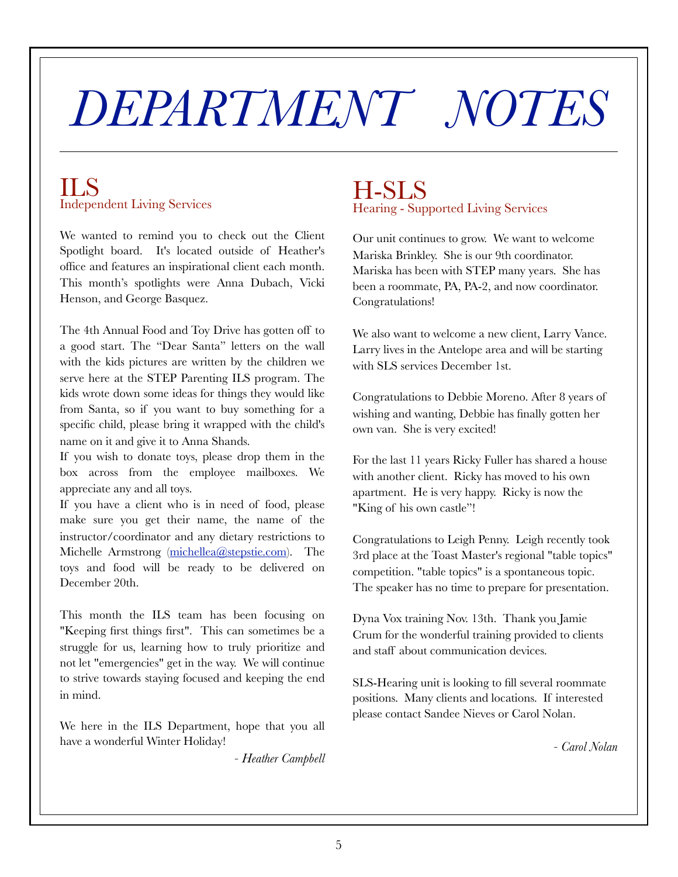# *DEPARTMENT NOTES*

### ILS Independent Living Services

We wanted to remind you to check out the Client Spotlight board. It's located outside of Heather's office and features an inspirational client each month. This month's spotlights were Anna Dubach, Vicki Henson, and George Basquez.

The 4th Annual Food and Toy Drive has gotten off to a good start. The "Dear Santa" letters on the wall with the kids pictures are written by the children we serve here at the STEP Parenting ILS program. The kids wrote down some ideas for things they would like from Santa, so if you want to buy something for a specific child, please bring it wrapped with the child's name on it and give it to Anna Shands.

If you wish to donate toys, please drop them in the box across from the employee mailboxes. We appreciate any and all toys.

If you have a client who is in need of food, please make sure you get their name, the name of the instructor/coordinator and any dietary restrictions to Michelle Armstrong (michellea@stepstie.com). The toys and food will be ready to be delivered on December 20th.

This month the ILS team has been focusing on "Keeping first things first". This can sometimes be a struggle for us, learning how to truly prioritize and not let "emergencies" get in the way. We will continue to strive towards staying focused and keeping the end in mind.

We here in the ILS Department, hope that you all have a wonderful Winter Holiday!

*- Heather Campbell*

## H-SLS Hearing - Supported Living Services

Our unit continues to grow. We want to welcome Mariska Brinkley. She is our 9th coordinator. Mariska has been with STEP many years. She has been a roommate, PA, PA-2, and now coordinator. Congratulations!

We also want to welcome a new client, Larry Vance. Larry lives in the Antelope area and will be starting with SLS services December 1st.

Congratulations to Debbie Moreno. After 8 years of wishing and wanting, Debbie has finally gotten her own van. She is very excited!

For the last 11 years Ricky Fuller has shared a house with another client. Ricky has moved to his own apartment. He is very happy. Ricky is now the "King of his own castle"!

Congratulations to Leigh Penny. Leigh recently took 3rd place at the Toast Master's regional "table topics" competition. "table topics" is a spontaneous topic. The speaker has no time to prepare for presentation.

Dyna Vox training Nov. 13th. Thank you Jamie Crum for the wonderful training provided to clients and staff about communication devices.

SLS-Hearing unit is looking to fill several roommate positions. Many clients and locations. If interested please contact Sandee Nieves or Carol Nolan.

*- Carol Nolan*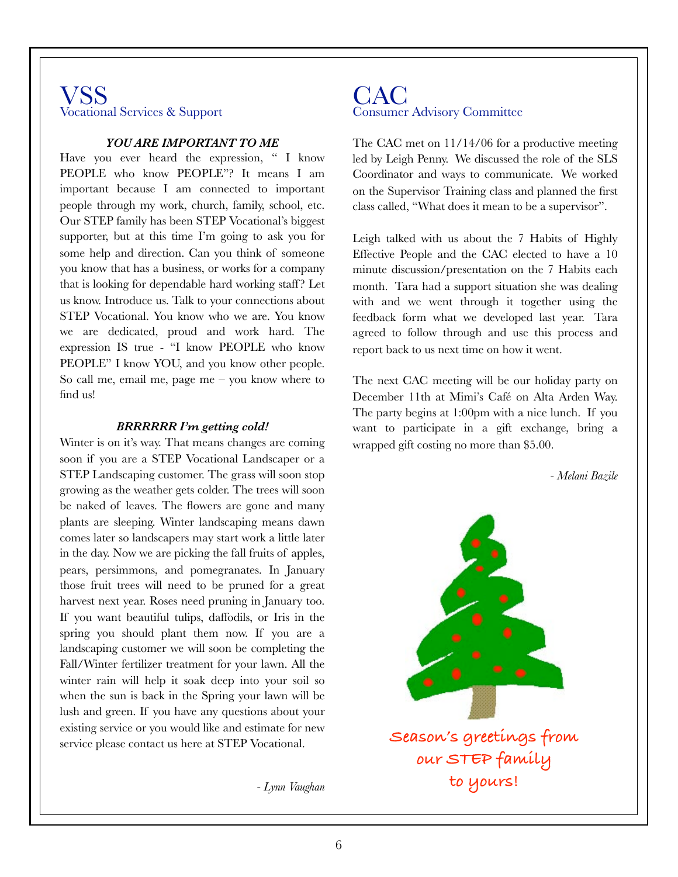#### VSS Vocational Services & Support

#### *YOU ARE IMPORTANT TO ME*

Have you ever heard the expression, " I know PEOPLE who know PEOPLE"? It means I am important because I am connected to important people through my work, church, family, school, etc. Our STEP family has been STEP Vocational's biggest supporter, but at this time I'm going to ask you for some help and direction. Can you think of someone you know that has a business, or works for a company that is looking for dependable hard working staff? Let us know. Introduce us. Talk to your connections about STEP Vocational. You know who we are. You know we are dedicated, proud and work hard. The expression IS true - "I know PEOPLE who know PEOPLE" I know YOU, and you know other people. So call me, email me, page me – you know where to find us!

#### *BRRRRRR I'm getting cold!*

Winter is on it's way. That means changes are coming soon if you are a STEP Vocational Landscaper or a STEP Landscaping customer. The grass will soon stop growing as the weather gets colder. The trees will soon be naked of leaves. The flowers are gone and many plants are sleeping. Winter landscaping means dawn comes later so landscapers may start work a little later in the day. Now we are picking the fall fruits of apples, pears, persimmons, and pomegranates. In January those fruit trees will need to be pruned for a great harvest next year. Roses need pruning in January too. If you want beautiful tulips, daffodils, or Iris in the spring you should plant them now. If you are a landscaping customer we will soon be completing the Fall/Winter fertilizer treatment for your lawn. All the winter rain will help it soak deep into your soil so when the sun is back in the Spring your lawn will be lush and green. If you have any questions about your existing service or you would like and estimate for new service please contact us here at STEP Vocational.

*- Lynn Vaughan*

#### CAC Consumer Advisory Committee

The CAC met on 11/14/06 for a productive meeting led by Leigh Penny. We discussed the role of the SLS Coordinator and ways to communicate. We worked on the Supervisor Training class and planned the first class called, "What does it mean to be a supervisor".

Leigh talked with us about the 7 Habits of Highly Effective People and the CAC elected to have a 10 minute discussion/presentation on the 7 Habits each month. Tara had a support situation she was dealing with and we went through it together using the feedback form what we developed last year. Tara agreed to follow through and use this process and report back to us next time on how it went.

The next CAC meeting will be our holiday party on December 11th at Mimi's Café on Alta Arden Way. The party begins at 1:00pm with a nice lunch. If you want to participate in a gift exchange, bring a wrapped gift costing no more than \$5.00.

*- Melani Bazile*

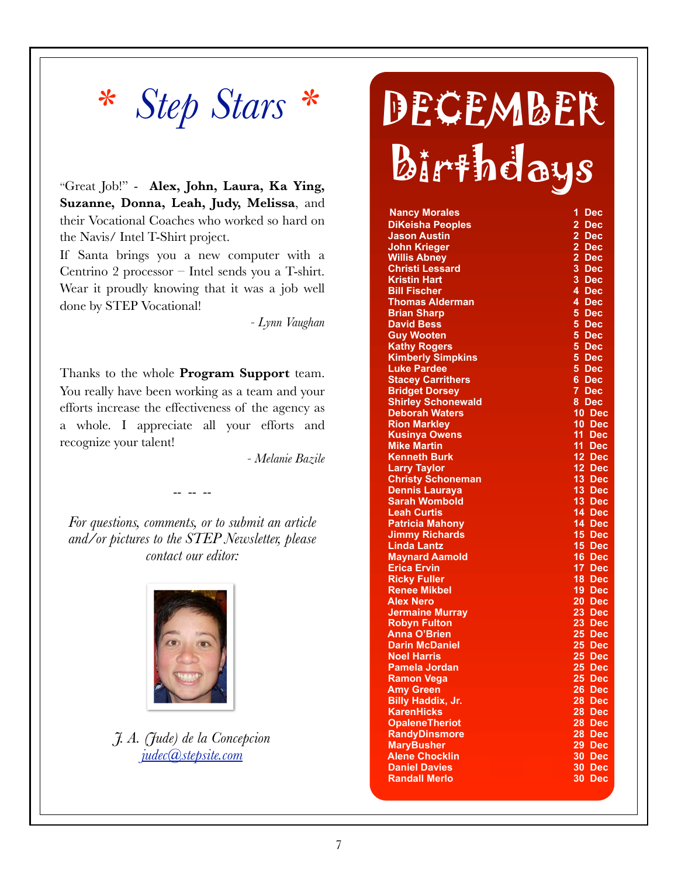# *\* Step Stars \**

"Great Job!" - **Alex, John, Laura, Ka Ying, Suzanne, Donna, Leah, Judy, Melissa**, and their Vocational Coaches who worked so hard on the Navis/ Intel T-Shirt project.

If Santa brings you a new computer with a Centrino 2 processor – Intel sends you a T-shirt. Wear it proudly knowing that it was a job well done by STEP Vocational!

*- Lynn Vaughan*

Thanks to the whole **Program Support** team. You really have been working as a team and your efforts increase the effectiveness of the agency as a whole. I appreciate all your efforts and recognize your talent!

*- Melanie Bazile*

*For questions, comments, or to submit an article and/or pictures to the STEP Newsletter, please contact our editor:*

-- -- --



*J. A. (Jude) de la Concepcion judec@stepsite.com*

# **DECEMBER** Birthdays

| <b>Nancy Morales</b>      | 1<br><b>Dec</b>                  |
|---------------------------|----------------------------------|
| <b>DiKeisha Peoples</b>   | $\overline{2}$<br><b>Dec</b>     |
| <b>Jason Austin</b>       | $\overline{2}$<br><b>Dec</b>     |
| <b>John Krieger</b>       | 2 Dec                            |
| <b>Willis Abney</b>       | $\overline{2}$<br><b>Dec</b>     |
| <b>Christi Lessard</b>    | 3 Dec                            |
| <b>Kristin Hart</b>       | 3 <sup>1</sup><br><b>Dec</b>     |
| <b>Bill Fischer</b>       | 4 Dec                            |
| <b>Thomas Alderman</b>    | 4 Dec                            |
| <b>Brian Sharp</b>        | 5.<br>Dec                        |
| <b>David Bess</b>         | 5<br><b>Dec</b>                  |
| <b>Guy Wooten</b>         | 5 <sup>5</sup><br>Dec            |
| <b>Kathy Rogers</b>       | 5 <sup>1</sup><br><b>Dec</b>     |
| <b>Kimberly Simpkins</b>  | 5<br><b>Dec</b>                  |
| <b>Luke Pardee</b>        | 5 <sup>5</sup><br><b>Dec</b>     |
| <b>Stacey Carrithers</b>  | 6.<br>Dec                        |
| <b>Bridget Dorsey</b>     | 7<br><b>Dec</b>                  |
| <b>Shirley Schonewald</b> | 8 Dec                            |
| <b>Deborah Waters</b>     | 10.<br>Dec                       |
| <b>Rion Markley</b>       | $10-1$<br>Dec                    |
| <b>Kusinya Owens</b>      | 11 Dec                           |
| <b>Mike Martin</b>        | 11.<br><b>Dec</b>                |
| <b>Kenneth Burk</b>       | 12 Dec                           |
| <b>Larry Taylor</b>       | 12 Dec                           |
| <b>Christy Schoneman</b>  | $13$ Dec                         |
| <b>Dennis Lauraya</b>     | 13 Dec                           |
| <b>Sarah Wombold</b>      | 13 Dec                           |
| <b>Leah Curtis</b>        | 14 Dec                           |
| <b>Patricia Mahony</b>    | 14 Dec                           |
| <b>Jimmy Richards</b>     | 15 Dec                           |
| <b>Linda Lantz</b>        | 15 Dec                           |
| <b>Maynard Aamold</b>     | 16 Dec                           |
| <b>Erica Ervin</b>        | 17 Dec                           |
| <b>Ricky Fuller</b>       | 18.<br>$\overline{\mathbf{Dec}}$ |
| <b>Renee Mikbel</b>       | 19 <sup>°</sup><br>Dec           |
| <b>Alex Nero</b>          | $20$ Dec                         |
| <b>Jermaine Murray</b>    | $23$ Dec                         |
| <b>Robyn Fulton</b>       | $23$ Dec                         |
| <b>Anna O'Brien</b>       | $25$ Dec                         |
| <b>Darin McDaniel</b>     | $25$ Dec                         |
| <b>Noel Harris</b>        | 25 <sub>2</sub><br>Dec           |
| <b>Pamela Jordan</b>      | $25$ Dec                         |
| <b>Ramon Vega</b>         | 25<br><b>Dec</b>                 |
| <b>Amy Green</b>          | 26<br>$\overline{\mathsf{Dec}}$  |
| <b>Billy Haddix, Jr.</b>  | 28<br><b>Dec</b>                 |
| <b>KarenHicks</b>         | 28<br>$\overline{\mathbf{p}}$ ec |
| <b>OpaleneTheriot</b>     | 28<br>$\overline{\mathbf{p}}$ ec |
| <b>RandyDinsmore</b>      | 28<br><b>Dec</b>                 |
| <b>MaryBusher</b>         | 29<br><b>Dec</b>                 |
| <b>Alene Chocklin</b>     | 30<br><b>Dec</b>                 |
| <b>Daniel Davies</b>      | 30<br><b>Dec</b>                 |
| <b>Randall Merlo</b>      | 30<br>Dec                        |
|                           |                                  |